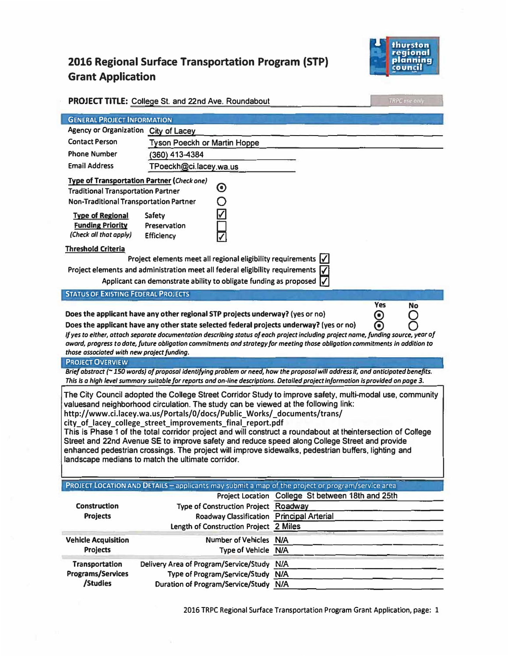## 2016 Regional Surface Transportation Program (STP) **Grant Application**



|                                                                                                                                                                                                                                                                                                                                                                                                                                                                                                                                                                                                                                                                                                                                                                                                                                                                                                                                                                                                                    | <b>PROJECT TITLE: College St. and 22nd Ave. Roundabout</b>                                                                  | <b>TRPC</b> use only                              |  |  |
|--------------------------------------------------------------------------------------------------------------------------------------------------------------------------------------------------------------------------------------------------------------------------------------------------------------------------------------------------------------------------------------------------------------------------------------------------------------------------------------------------------------------------------------------------------------------------------------------------------------------------------------------------------------------------------------------------------------------------------------------------------------------------------------------------------------------------------------------------------------------------------------------------------------------------------------------------------------------------------------------------------------------|-----------------------------------------------------------------------------------------------------------------------------|---------------------------------------------------|--|--|
| <b>GENERAL PROJECT INFORMATION</b>                                                                                                                                                                                                                                                                                                                                                                                                                                                                                                                                                                                                                                                                                                                                                                                                                                                                                                                                                                                 |                                                                                                                             |                                                   |  |  |
| Agency or Organization City of Lacey                                                                                                                                                                                                                                                                                                                                                                                                                                                                                                                                                                                                                                                                                                                                                                                                                                                                                                                                                                               |                                                                                                                             |                                                   |  |  |
| <b>Contact Person</b>                                                                                                                                                                                                                                                                                                                                                                                                                                                                                                                                                                                                                                                                                                                                                                                                                                                                                                                                                                                              | <b>Tyson Poeckh or Martin Hoppe</b>                                                                                         |                                                   |  |  |
| <b>Phone Number</b>                                                                                                                                                                                                                                                                                                                                                                                                                                                                                                                                                                                                                                                                                                                                                                                                                                                                                                                                                                                                | (360) 413-4384                                                                                                              |                                                   |  |  |
| <b>Email Address</b>                                                                                                                                                                                                                                                                                                                                                                                                                                                                                                                                                                                                                                                                                                                                                                                                                                                                                                                                                                                               | TPoeckh@ci.lacey.wa.us                                                                                                      |                                                   |  |  |
| <b>Type of Transportation Partner (Check one)</b><br>$\boldsymbol{\odot}$<br><b>Traditional Transportation Partner</b><br>Non-Traditional Transportation Partner<br><b>Type of Regional</b><br>Safety<br><b>Funding Priority</b><br>Preservation<br>(Check all that apply)<br><b>Efficiency</b><br><b>Threshold Criteria</b><br>Project elements meet all regional eligibility requirements $\mathcal V$<br>Project elements and administration meet all federal eligibility requirements $\sqrt{\sqrt{ }}$<br>Applicant can demonstrate ability to obligate funding as proposed $  \checkmark  $<br><b>STATUS OF EXISTING FEDERAL PROJECTS</b><br><b>Yes</b><br>No<br>Does the applicant have any other regional STP projects underway? (yes or no)<br>$\boldsymbol{\Theta}$<br>⋒<br>Does the applicant have any other state selected federal projects underway? (yes or no)<br>if yes to either, attach separate documentation describing status of each project including project name, funding source, year of |                                                                                                                             |                                                   |  |  |
| award, progress to date, future obligation commitments and strategy for meeting those obligation commitments in addition to<br>those associated with new project funding.                                                                                                                                                                                                                                                                                                                                                                                                                                                                                                                                                                                                                                                                                                                                                                                                                                          |                                                                                                                             |                                                   |  |  |
| <b>PROJECT OVERVIEW</b>                                                                                                                                                                                                                                                                                                                                                                                                                                                                                                                                                                                                                                                                                                                                                                                                                                                                                                                                                                                            |                                                                                                                             |                                                   |  |  |
| Brief abstract (~ 150 words) of proposal identifying problem or need, how the proposal will address it, and anticipated benefits.<br>This is a high level summary suitable for reports and on-line descriptions. Detailed project information is provided on page 3.                                                                                                                                                                                                                                                                                                                                                                                                                                                                                                                                                                                                                                                                                                                                               |                                                                                                                             |                                                   |  |  |
| The City Council adopted the College Street Corridor Study to improve safety, multi-modal use, community<br>valuesand neighborhood circulation. The study can be viewed at the following link:<br>http://www.ci.lacey.wa.us/Portals/0/docs/Public Works/ documents/trans/<br>city_of_lacey_college_street_improvements_final_report.pdf<br>This is Phase 1 of the total corridor project and will construct a roundabout at the intersection of College<br>Street and 22nd Avenue SE to improve safety and reduce speed along College Street and provide<br>enhanced pedestrian crossings. The project will improve sidewalks, pedestrian buffers, lighting and<br>landscape medians to match the ultimate corridor.                                                                                                                                                                                                                                                                                               |                                                                                                                             |                                                   |  |  |
|                                                                                                                                                                                                                                                                                                                                                                                                                                                                                                                                                                                                                                                                                                                                                                                                                                                                                                                                                                                                                    | PROJECT LOCATION AND DETAILS - applicants may submit a map of the project or program/service area                           |                                                   |  |  |
| <b>Construction</b><br><b>Projects</b>                                                                                                                                                                                                                                                                                                                                                                                                                                                                                                                                                                                                                                                                                                                                                                                                                                                                                                                                                                             | Type of Construction Project Roadway<br>Roadway Classification Principal Arterial<br>Length of Construction Project 2 Miles | Project Location College St between 18th and 25th |  |  |
| <b>Vehicle Acquisition</b><br><b>Projects</b>                                                                                                                                                                                                                                                                                                                                                                                                                                                                                                                                                                                                                                                                                                                                                                                                                                                                                                                                                                      | Number of Vehicles N/A<br>Type of Vehicle N/A                                                                               |                                                   |  |  |
| <b>Transportation</b><br>Programs/Services<br>/Studies                                                                                                                                                                                                                                                                                                                                                                                                                                                                                                                                                                                                                                                                                                                                                                                                                                                                                                                                                             | Delivery Area of Program/Service/Study N/A<br>Type of Program/Service/Study N/A<br>Duration of Program/Service/Study N/A    |                                                   |  |  |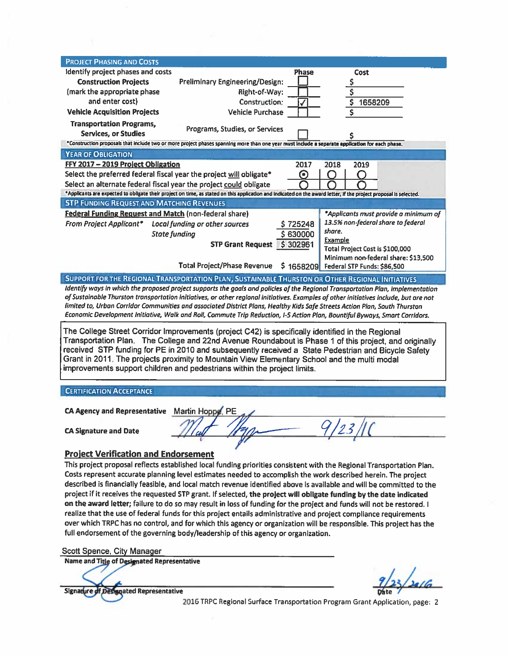| <b>PROJECT PHASING AND COSTS</b>                                                                                                                                                                            |                                                                                                                                                 |                                                |  |  |
|-------------------------------------------------------------------------------------------------------------------------------------------------------------------------------------------------------------|-------------------------------------------------------------------------------------------------------------------------------------------------|------------------------------------------------|--|--|
| Identify project phases and costs                                                                                                                                                                           | <b>Phase</b>                                                                                                                                    | Cost                                           |  |  |
| <b>Construction Projects</b>                                                                                                                                                                                | Preliminary Engineering/Design:                                                                                                                 |                                                |  |  |
| (mark the appropriate phase                                                                                                                                                                                 | Right-of-Way:                                                                                                                                   | $rac{5}{5}$                                    |  |  |
| and enter cost)                                                                                                                                                                                             | Construction:                                                                                                                                   | $\overline{\boldsymbol{\varsigma}}$<br>1658209 |  |  |
| <b>Vehicle Acquisition Projects</b>                                                                                                                                                                         | <b>Vehicle Purchase</b>                                                                                                                         |                                                |  |  |
| <b>Transportation Programs,</b>                                                                                                                                                                             | Programs, Studies, or Services                                                                                                                  |                                                |  |  |
| <b>Services, or Studies</b>                                                                                                                                                                                 |                                                                                                                                                 |                                                |  |  |
|                                                                                                                                                                                                             | *Construction proposals that include two or more project phases spanning more than one year must include a separate application for each phase. |                                                |  |  |
| <b>YEAR OF OBLIGATION</b>                                                                                                                                                                                   |                                                                                                                                                 |                                                |  |  |
| FFY 2017 - 2019 Project Obligation                                                                                                                                                                          | 2017                                                                                                                                            | 2019<br>2018                                   |  |  |
| Select the preferred federal fiscal year the project will obligate*                                                                                                                                         | ⊙                                                                                                                                               |                                                |  |  |
| Select an alternate federal fiscal year the project could obligate                                                                                                                                          |                                                                                                                                                 |                                                |  |  |
| *Applicants are expected to obligate their project on time, as stated on this application and indicated on the award letter, if the project proposal is selected.                                           |                                                                                                                                                 |                                                |  |  |
| <b>STP FUNDING REQUEST AND MATCHING REVENUES</b>                                                                                                                                                            |                                                                                                                                                 |                                                |  |  |
| <b>Federal Funding Request and Match (non-federal share)</b>                                                                                                                                                |                                                                                                                                                 | *Applicants must provide a minimum of          |  |  |
| From Project Applicant*                                                                                                                                                                                     | Local funding or other sources<br>\$725248                                                                                                      | 13.5% non-federal share to federal             |  |  |
| <b>State funding</b>                                                                                                                                                                                        | \$630000                                                                                                                                        | share.<br><b>Example</b>                       |  |  |
|                                                                                                                                                                                                             | \$302961<br><b>STP Grant Request</b>                                                                                                            | Total Project Cost is \$100,000                |  |  |
|                                                                                                                                                                                                             |                                                                                                                                                 | Minimum non-federal share: \$13,500            |  |  |
|                                                                                                                                                                                                             | <b>Total Project/Phase Revenue</b>                                                                                                              | \$1658209 Federal STP Funds: \$86,500          |  |  |
| SUPPORT FOR THE REGIONAL TRANSPORTATION PLAN, SUSTAINABLE THURSTON OR OTHER REGIONAL INITIATIVES                                                                                                            |                                                                                                                                                 |                                                |  |  |
| Identify ways in which the proposed project supports the goals and policies of the Regional Transportation Plan, implementation                                                                             |                                                                                                                                                 |                                                |  |  |
| of Sustainable Thurston transportation initiatives, or other regional initiatives. Examples of other initiatives include, but are not                                                                       |                                                                                                                                                 |                                                |  |  |
| limited to, Urban Corridor Communities and associated District Plans, Healthy Kids Safe Streets Action Plan, South Thurston                                                                                 |                                                                                                                                                 |                                                |  |  |
|                                                                                                                                                                                                             | Economic Development Initiative, Walk and Roll, Commute Trip Reduction, I-5 Action Plan, Bountiful Byways, Smart Corridors.                     |                                                |  |  |
|                                                                                                                                                                                                             |                                                                                                                                                 |                                                |  |  |
| The College Street Corridor Improvements (project C42) is specifically identified in the Regional<br>Transportation Plan. The College and 22nd Avenue Roundabout is Phase 1 of this project, and originally |                                                                                                                                                 |                                                |  |  |
| received STP funding for PE in 2010 and subsequently received a State Pedestrian and Bicycle Safety                                                                                                         |                                                                                                                                                 |                                                |  |  |
| Grant in 2011. The projects proximity to Mountain View Elementary School and the multi modal                                                                                                                |                                                                                                                                                 |                                                |  |  |
| improvements support children and pedestrians within the project limits.                                                                                                                                    |                                                                                                                                                 |                                                |  |  |
|                                                                                                                                                                                                             |                                                                                                                                                 |                                                |  |  |
| <b>CERTIFICATION ACCEPTANCE</b>                                                                                                                                                                             |                                                                                                                                                 |                                                |  |  |
|                                                                                                                                                                                                             |                                                                                                                                                 |                                                |  |  |
| CA Agency and Representative Martin Hoppe, PE                                                                                                                                                               |                                                                                                                                                 |                                                |  |  |
|                                                                                                                                                                                                             |                                                                                                                                                 |                                                |  |  |
| <b>CA Signature and Date</b>                                                                                                                                                                                |                                                                                                                                                 | $Q \mid_{a}$ , $\mid_{h}$                      |  |  |
|                                                                                                                                                                                                             |                                                                                                                                                 |                                                |  |  |
|                                                                                                                                                                                                             |                                                                                                                                                 |                                                |  |  |
| <b>Project Verification and Endorsement</b>                                                                                                                                                                 |                                                                                                                                                 |                                                |  |  |
| This project proposal reflects established local funding priorities consistent with the Regional Transportation Plan.                                                                                       |                                                                                                                                                 |                                                |  |  |
| Costs represent accurate planning level estimates needed to accomplish the work described herein. The project                                                                                               |                                                                                                                                                 |                                                |  |  |
| described is financially feasible, and local match revenue identified above is available and will be committed to the                                                                                       |                                                                                                                                                 |                                                |  |  |
| project if it receives the requested STP grant. If selected, the project will obligate funding by the date indicated                                                                                        |                                                                                                                                                 |                                                |  |  |

on the award letter; failure to do so may result in loss of funding for the project and funds will not be restored. I realize that the use of federal funds for this project entails administrative and project compliance requirements over which TRPC has no control, and for which this agency or organization will be responsible. This project has the full endorsement of the governing body/leadership of this agency or organization.

Scott Spence, City Manager

Name and Title of Designated Representative

Signature of Designated Representative

2016 TRPC Regional Surface Transportation Program Grant Application, page: 2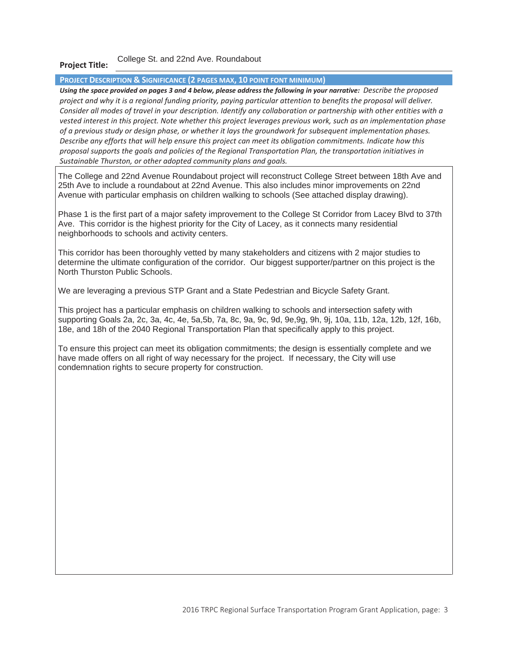## **Project Title:**  College St. and 22nd Ave. Roundabout

## **PROJECT DESCRIPTION & SIGNIFICANCE (2 PAGES MAX, 10 POINT FONT MINIMUM)**

*Using the space provided on pages 3 and 4 below, please address the following in your narrative: Describe the proposed project and why it is a regional funding priority, paying particular attention to benefits the proposal will deliver. Consider all modes of travel in your description. Identify any collaboration or partnership with other entities with a vested interest in this project. Note whether this project leverages previous work, such as an implementation phase of a previous study or design phase, or whether it lays the groundwork for subsequent implementation phases. Describe any efforts that will help ensure this project can meet its obligation commitments. Indicate how this proposal supports the goals and policies of the Regional Transportation Plan, the transportation initiatives in Sustainable Thurston, or other adopted community plans and goals.* 

The College and 22nd Avenue Roundabout project will reconstruct College Street between 18th Ave and 25th Ave to include a roundabout at 22nd Avenue. This also includes minor improvements on 22nd Avenue with particular emphasis on children walking to schools (See attached display drawing).

Phase 1 is the first part of a major safety improvement to the College St Corridor from Lacey Blvd to 37th Ave. This corridor is the highest priority for the City of Lacey, as it connects many residential neighborhoods to schools and activity centers.

This corridor has been thoroughly vetted by many stakeholders and citizens with 2 major studies to determine the ultimate configuration of the corridor. Our biggest supporter/partner on this project is the North Thurston Public Schools.

We are leveraging a previous STP Grant and a State Pedestrian and Bicycle Safety Grant.

This project has a particular emphasis on children walking to schools and intersection safety with supporting Goals 2a, 2c, 3a, 4c, 4e, 5a,5b, 7a, 8c, 9a, 9c, 9d, 9e,9g, 9h, 9j, 10a, 11b, 12a, 12b, 12f, 16b, 18e, and 18h of the 2040 Regional Transportation Plan that specifically apply to this project.

To ensure this project can meet its obligation commitments; the design is essentially complete and we have made offers on all right of way necessary for the project. If necessary, the City will use condemnation rights to secure property for construction.